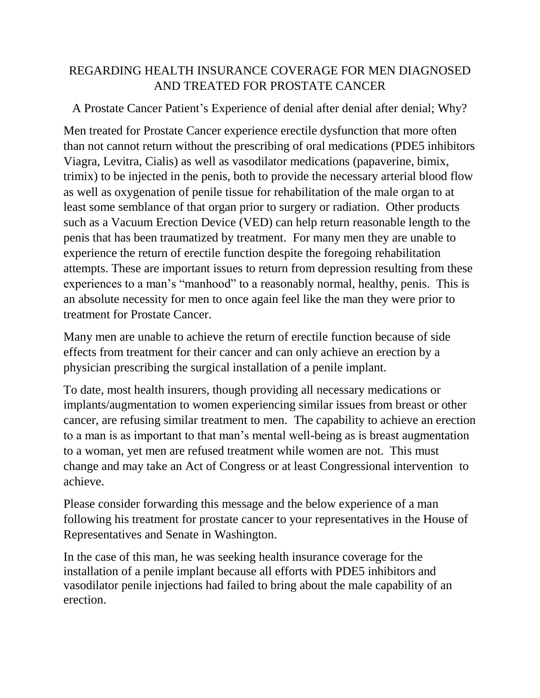## REGARDING HEALTH INSURANCE COVERAGE FOR MEN DIAGNOSED AND TREATED FOR PROSTATE CANCER

## A Prostate Cancer Patient's Experience of denial after denial after denial; Why?

Men treated for Prostate Cancer experience erectile dysfunction that more often than not cannot return without the prescribing of oral medications (PDE5 inhibitors Viagra, Levitra, Cialis) as well as vasodilator medications (papaverine, bimix, trimix) to be injected in the penis, both to provide the necessary arterial blood flow as well as oxygenation of penile tissue for rehabilitation of the male organ to at least some semblance of that organ prior to surgery or radiation. Other products such as a Vacuum Erection Device (VED) can help return reasonable length to the penis that has been traumatized by treatment. For many men they are unable to experience the return of erectile function despite the foregoing rehabilitation attempts. These are important issues to return from depression resulting from these experiences to a man's "manhood" to a reasonably normal, healthy, penis. This is an absolute necessity for men to once again feel like the man they were prior to treatment for Prostate Cancer.

Many men are unable to achieve the return of erectile function because of side effects from treatment for their cancer and can only achieve an erection by a physician prescribing the surgical installation of a penile implant.

To date, most health insurers, though providing all necessary medications or implants/augmentation to women experiencing similar issues from breast or other cancer, are refusing similar treatment to men. The capability to achieve an erection to a man is as important to that man's mental well-being as is breast augmentation to a woman, yet men are refused treatment while women are not. This must change and may take an Act of Congress or at least Congressional intervention to achieve.

Please consider forwarding this message and the below experience of a man following his treatment for prostate cancer to your representatives in the House of Representatives and Senate in Washington.

In the case of this man, he was seeking health insurance coverage for the installation of a penile implant because all efforts with PDE5 inhibitors and vasodilator penile injections had failed to bring about the male capability of an erection.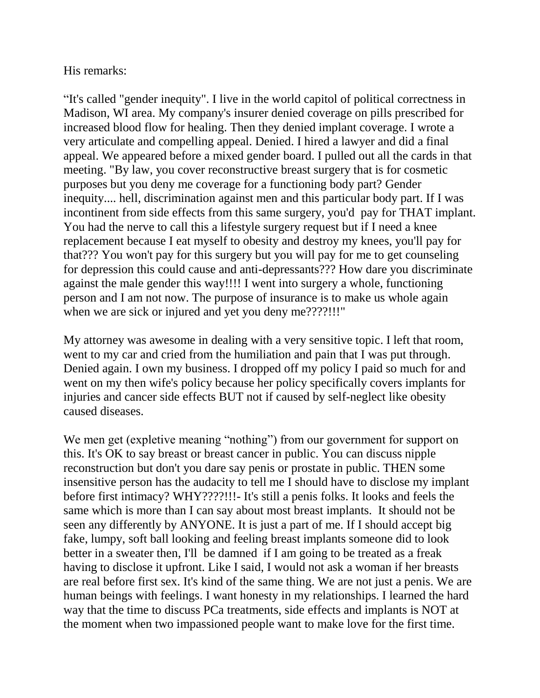## His remarks:

"It's called "gender inequity". I live in the world capitol of political correctness in Madison, WI area. My company's insurer denied coverage on pills prescribed for increased blood flow for healing. Then they denied implant coverage. I wrote a very articulate and compelling appeal. Denied. I hired a lawyer and did a final appeal. We appeared before a mixed gender board. I pulled out all the cards in that meeting. "By law, you cover reconstructive breast surgery that is for cosmetic purposes but you deny me coverage for a functioning body part? Gender inequity.... hell, discrimination against men and this particular body part. If I was incontinent from side effects from this same surgery, you'd pay for THAT implant. You had the nerve to call this a lifestyle surgery request but if I need a knee replacement because I eat myself to obesity and destroy my knees, you'll pay for that??? You won't pay for this surgery but you will pay for me to get counseling for depression this could cause and anti-depressants??? How dare you discriminate against the male gender this way!!!! I went into surgery a whole, functioning person and I am not now. The purpose of insurance is to make us whole again when we are sick or injured and yet you deny me????!!!"

My attorney was awesome in dealing with a very sensitive topic. I left that room, went to my car and cried from the humiliation and pain that I was put through. Denied again. I own my business. I dropped off my policy I paid so much for and went on my then wife's policy because her policy specifically covers implants for injuries and cancer side effects BUT not if caused by self-neglect like obesity caused diseases.

We men get (expletive meaning "nothing") from our government for support on this. It's OK to say breast or breast cancer in public. You can discuss nipple reconstruction but don't you dare say penis or prostate in public. THEN some insensitive person has the audacity to tell me I should have to disclose my implant before first intimacy? WHY????!!!- It's still a penis folks. It looks and feels the same which is more than I can say about most breast implants. It should not be seen any differently by ANYONE. It is just a part of me. If I should accept big fake, lumpy, soft ball looking and feeling breast implants someone did to look better in a sweater then, I'll be damned if I am going to be treated as a freak having to disclose it upfront. Like I said, I would not ask a woman if her breasts are real before first sex. It's kind of the same thing. We are not just a penis. We are human beings with feelings. I want honesty in my relationships. I learned the hard way that the time to discuss PCa treatments, side effects and implants is NOT at the moment when two impassioned people want to make love for the first time.